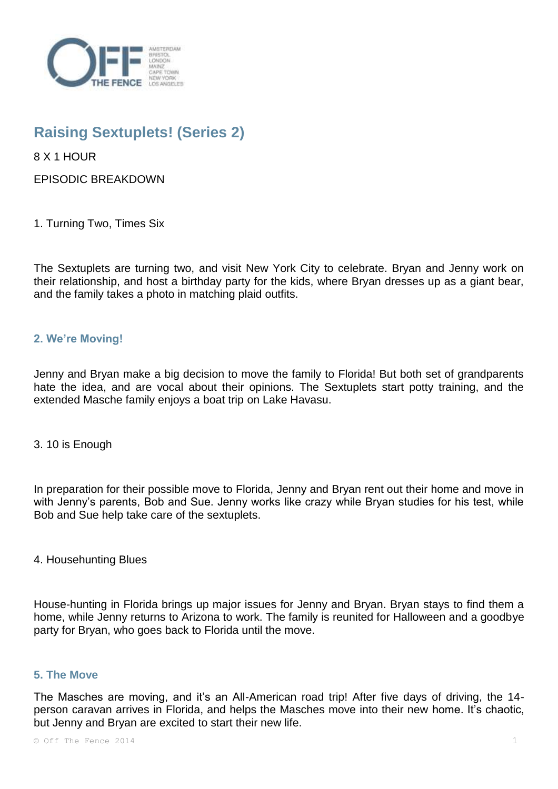

# **Raising Sextuplets! (Series 2)**

8 X 1 HOUR

EPISODIC BREAKDOWN

1. Turning Two, Times Six

The Sextuplets are turning two, and visit New York City to celebrate. Bryan and Jenny work on their relationship, and host a birthday party for the kids, where Bryan dresses up as a giant bear, and the family takes a photo in matching plaid outfits.

## **2. We're Moving!**

Jenny and Bryan make a big decision to move the family to Florida! But both set of grandparents hate the idea, and are vocal about their opinions. The Sextuplets start potty training, and the extended Masche family enjoys a boat trip on Lake Havasu.

## 3. 10 is Enough

In preparation for their possible move to Florida, Jenny and Bryan rent out their home and move in with Jenny's parents, Bob and Sue. Jenny works like crazy while Bryan studies for his test, while Bob and Sue help take care of the sextuplets.

4. Househunting Blues

House-hunting in Florida brings up major issues for Jenny and Bryan. Bryan stays to find them a home, while Jenny returns to Arizona to work. The family is reunited for Halloween and a goodbye party for Bryan, who goes back to Florida until the move.

#### **5. The Move**

The Masches are moving, and it's an All-American road trip! After five days of driving, the 14 person caravan arrives in Florida, and helps the Masches move into their new home. It's chaotic, but Jenny and Bryan are excited to start their new life.